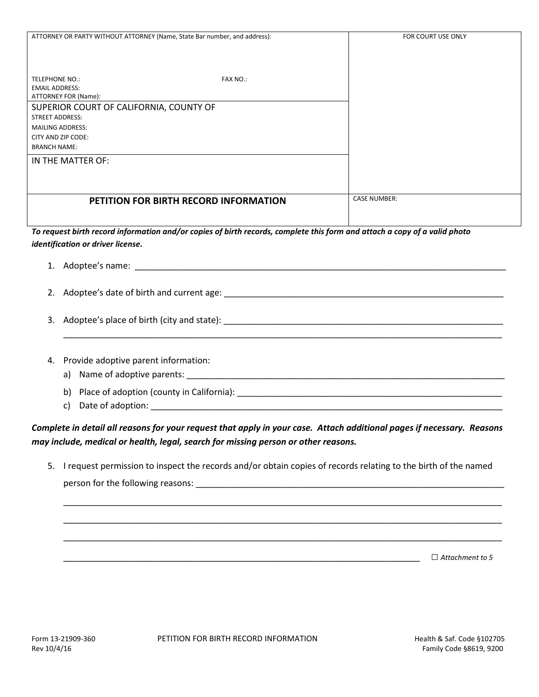| ATTORNEY OR PARTY WITHOUT ATTORNEY (Name, State Bar number, and address):                                                 |                 | FOR COURT USE ONLY  |
|---------------------------------------------------------------------------------------------------------------------------|-----------------|---------------------|
|                                                                                                                           |                 |                     |
|                                                                                                                           |                 |                     |
|                                                                                                                           |                 |                     |
|                                                                                                                           |                 |                     |
| <b>TELEPHONE NO.:</b><br><b>EMAIL ADDRESS:</b>                                                                            | <b>FAX NO.:</b> |                     |
|                                                                                                                           |                 |                     |
| ATTORNEY FOR (Name):                                                                                                      |                 |                     |
| SUPERIOR COURT OF CALIFORNIA, COUNTY OF                                                                                   |                 |                     |
| <b>STREET ADDRESS:</b>                                                                                                    |                 |                     |
| <b>MAILING ADDRESS:</b>                                                                                                   |                 |                     |
| CITY AND ZIP CODE:                                                                                                        |                 |                     |
| <b>BRANCH NAME:</b>                                                                                                       |                 |                     |
| IN THE MATTER OF:                                                                                                         |                 |                     |
|                                                                                                                           |                 |                     |
|                                                                                                                           |                 |                     |
|                                                                                                                           |                 |                     |
| PETITION FOR BIRTH RECORD INFORMATION                                                                                     |                 | <b>CASE NUMBER:</b> |
|                                                                                                                           |                 |                     |
|                                                                                                                           |                 |                     |
| To request birth record information and/or copies of birth records, complete this form and attach a copy of a valid photo |                 |                     |

*identification or driver license.*

1. Adoptee's name: \_\_\_\_\_\_\_\_\_\_\_\_\_\_\_\_\_\_\_\_\_\_\_\_\_\_\_\_\_\_\_\_\_\_\_\_\_\_\_\_\_\_\_\_\_\_\_\_\_\_\_\_\_\_\_\_\_\_\_\_\_\_\_\_\_\_\_\_\_\_\_\_\_\_\_\_\_ 2. Adoptee's date of birth and current age: \_\_\_\_\_\_\_\_\_\_\_\_\_\_\_\_\_\_\_\_\_\_\_\_\_\_\_\_\_\_\_\_\_\_\_\_\_\_\_\_\_\_\_\_\_\_\_\_\_\_\_\_\_\_\_\_\_\_ 3. Adoptee's place of birth (city and state): \_\_\_\_\_\_\_\_\_\_\_\_\_\_\_\_\_\_\_\_\_\_\_\_\_\_\_\_\_\_\_\_\_\_\_\_\_\_\_\_\_\_\_\_\_\_\_\_\_\_\_\_\_\_\_\_\_\_\_\_\_\_\_\_\_\_\_\_\_\_\_\_\_\_\_\_\_\_\_\_\_\_\_\_\_\_\_\_\_\_\_ 4. Provide adoptive parent information: a) Name of adoptive parents: \_\_\_\_\_\_\_\_\_\_\_\_\_\_\_\_\_\_\_\_\_\_\_\_\_\_\_\_\_\_\_\_\_\_\_\_\_\_\_\_\_\_\_\_\_\_\_\_\_\_\_\_\_\_\_\_\_\_\_\_\_\_\_\_\_\_ b) Place of adoption (county in California): \_\_\_\_\_\_\_\_\_\_\_\_\_\_\_\_\_\_\_\_\_\_\_\_\_\_\_\_\_\_\_\_\_\_\_ c) Date of adoption:

*Complete in detail all reasons for your request that apply in your case. Attach additional pages if necessary. Reasons may include, medical or health, legal, search for missing person or other reasons.*

5. I request permission to inspect the records and/or obtain copies of records relating to the birth of the named person for the following reasons: \_\_\_\_\_\_\_\_\_\_\_\_\_\_\_\_\_\_\_\_\_\_\_\_\_\_\_\_\_\_\_\_\_\_\_\_\_\_\_\_\_\_\_\_\_\_\_\_\_\_\_\_\_\_\_\_\_\_\_\_\_\_\_\_

\_\_\_\_\_\_\_\_\_\_\_\_\_\_\_\_\_\_\_\_\_\_\_\_\_\_\_\_\_\_\_\_\_\_\_\_\_\_\_\_\_\_\_\_\_\_\_\_\_\_\_\_\_\_\_\_\_\_\_\_\_\_\_\_\_\_\_\_\_\_\_\_\_\_\_\_\_\_\_\_\_\_\_\_\_\_\_\_\_\_\_

\_\_\_\_\_\_\_\_\_\_\_\_\_\_\_\_\_\_\_\_\_\_\_\_\_\_\_\_\_\_\_\_\_\_\_\_\_\_\_\_\_\_\_\_\_\_\_\_\_\_\_\_\_\_\_\_\_\_\_\_\_\_\_\_\_\_\_\_\_\_\_\_\_\_\_\_\_\_\_\_\_\_\_\_\_\_\_\_\_\_\_

\_\_\_\_\_\_\_\_\_\_\_\_\_\_\_\_\_\_\_\_\_\_\_\_\_\_\_\_\_\_\_\_\_\_\_\_\_\_\_\_\_\_\_\_\_\_\_\_\_\_\_\_\_\_\_\_\_\_\_\_\_\_\_\_\_\_\_\_\_\_\_\_\_\_\_\_\_\_\_\_\_\_\_\_\_\_\_\_\_\_\_

\_\_\_\_\_\_\_\_\_\_\_\_\_\_\_\_\_\_\_\_\_\_\_\_\_\_\_\_\_\_\_\_\_\_\_\_\_\_\_\_\_\_\_\_\_\_\_\_\_\_\_\_\_\_\_\_\_\_\_\_\_\_\_\_\_\_\_\_\_\_\_\_\_\_ □ *Attachment to 5*